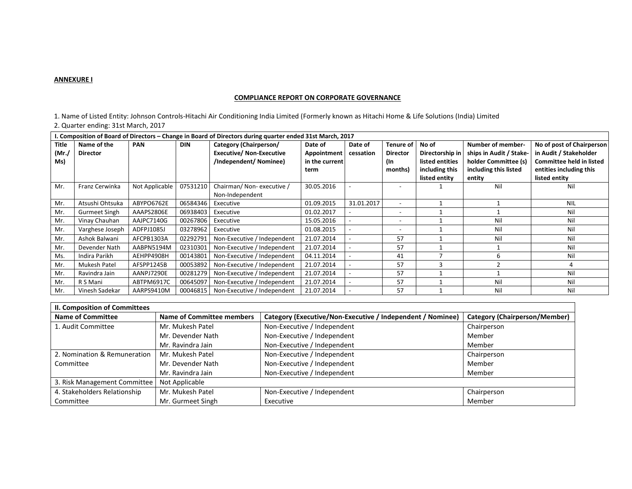#### **ANNEXURE I**

### **COMPLIANCE REPORT ON CORPORATE GOVERNANCE**

1. Name of Listed Entity: Johnson Controls-Hitachi Air Conditioning India Limited (Formerly known as Hitachi Home & Life Solutions (India) Limited 2. Quarter ending: 31st March, 2017

| I. Composition of Board of Directors – Change in Board of Directors during quarter ended 31st March, 2017 |                      |                |            |                                 |                    |            |                          |                 |                         |                                 |
|-----------------------------------------------------------------------------------------------------------|----------------------|----------------|------------|---------------------------------|--------------------|------------|--------------------------|-----------------|-------------------------|---------------------------------|
| Title                                                                                                     | Name of the          | <b>PAN</b>     | <b>DIN</b> | Category (Chairperson/          | Date of            | Date of    | Tenure of                | No of           | Number of member-       | No of post of Chairperson       |
| (Mr./                                                                                                     | <b>Director</b>      |                |            | <b>Executive/ Non-Executive</b> | <b>Appointment</b> | cessation  | <b>Director</b>          | Directorship in | ships in Audit / Stake- | in Audit / Stakeholder          |
| Ms)                                                                                                       |                      |                |            | /Independent/ Nominee)          | in the current     |            | (In                      | listed entities | holder Committee (s)    | <b>Committee held in listed</b> |
|                                                                                                           |                      |                |            |                                 | term               |            | months)                  | including this  | including this listed   | entities including this         |
|                                                                                                           |                      |                |            |                                 |                    |            |                          | listed entity   | entity                  | listed entity                   |
| Mr.                                                                                                       | Franz Cerwinka       | Not Applicable | 07531210   | Chairman/Non-executive/         | 30.05.2016         |            |                          |                 | Nil                     | Nil                             |
|                                                                                                           |                      |                |            | Non-Independent                 |                    |            |                          |                 |                         |                                 |
| Mr.                                                                                                       | Atsushi Ohtsuka      | ABYPO6762E     | 06584346   | Executive                       | 01.09.2015         | 31.01.2017 | $\overline{\phantom{0}}$ |                 |                         | <b>NIL</b>                      |
| Mr.                                                                                                       | <b>Gurmeet Singh</b> | AAAPS2806E     | 06938403   | Executive                       | 01.02.2017         |            |                          |                 |                         | Nil                             |
| Mr.                                                                                                       | Vinay Chauhan        | AAJPC7140G     | 00267806   | Executive                       | 15.05.2016         |            |                          |                 | Nil                     | Nil                             |
| Mr.                                                                                                       | Varghese Joseph      | ADFPJ1085J     | 03278962   | Executive                       | 01.08.2015         |            |                          |                 | Nil                     | Nil                             |
| Mr.                                                                                                       | Ashok Balwani        | AFCPB1303A     | 02292791   | Non-Executive / Independent     | 21.07.2014         |            | 57                       |                 | Nil                     | Nil                             |
| Mr.                                                                                                       | Devender Nath        | AABPN5194M     | 02310301   | Non-Executive / Independent     | 21.07.2014         |            | 57                       |                 |                         | Nil                             |
| Ms.                                                                                                       | Indira Parikh        | AEHPP4908H     | 00143801   | Non-Executive / Independent     | 04.11.2014         |            | 41                       |                 | 6                       | Nil                             |
| Mr.                                                                                                       | Mukesh Patel         | AFSPP1245B     | 00053892   | Non-Executive / Independent     | 21.07.2014         |            | 57                       | 3               |                         |                                 |
| Mr.                                                                                                       | Ravindra Jain        | AANPJ7290E     | 00281279   | Non-Executive / Independent     | 21.07.2014         |            | 57                       |                 |                         | Nil                             |
| Mr.                                                                                                       | R S Mani             | ABTPM6917C     | 00645097   | Non-Executive / Independent     | 21.07.2014         |            | 57                       |                 | Nil                     | Nil                             |
| Mr.                                                                                                       | Vinesh Sadekar       | AARPS9410M     | 00046815   | Non-Executive / Independent     | 21.07.2014         |            | 57                       |                 | Nil                     | Nil                             |

| <b>II. Composition of Committees</b> |                                  |                                                            |                                      |  |  |  |
|--------------------------------------|----------------------------------|------------------------------------------------------------|--------------------------------------|--|--|--|
| <b>Name of Committee</b>             | <b>Name of Committee members</b> | Category (Executive/Non-Executive / Independent / Nominee) | <b>Category (Chairperson/Member)</b> |  |  |  |
| 1. Audit Committee                   | Mr. Mukesh Patel                 | Non-Executive / Independent                                | Chairperson                          |  |  |  |
|                                      | Mr. Devender Nath                | Non-Executive / Independent                                | Member                               |  |  |  |
|                                      | Mr. Ravindra Jain                | Non-Executive / Independent                                | Member                               |  |  |  |
| 2. Nomination & Remuneration         | Mr. Mukesh Patel                 | Non-Executive / Independent                                | Chairperson                          |  |  |  |
| Committee                            | Mr. Devender Nath                | Non-Executive / Independent                                | Member                               |  |  |  |
|                                      | Mr. Ravindra Jain                | Non-Executive / Independent                                | Member                               |  |  |  |
| 3. Risk Management Committee         | Not Applicable                   |                                                            |                                      |  |  |  |
| 4. Stakeholders Relationship         | Mr. Mukesh Patel                 | Non-Executive / Independent                                | Chairperson                          |  |  |  |
| Committee                            | Mr. Gurmeet Singh                | Executive                                                  | Member                               |  |  |  |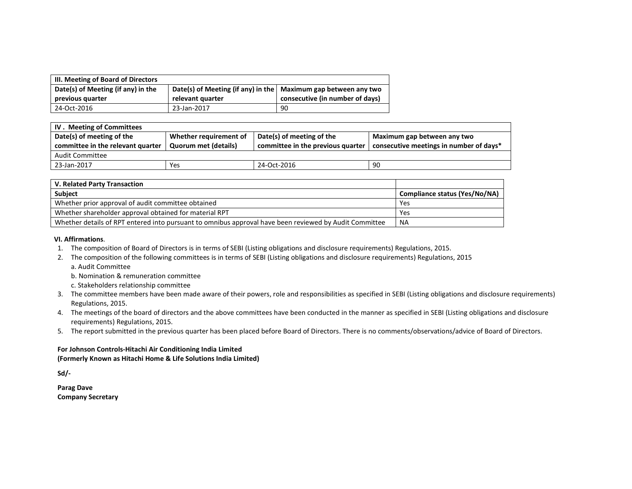| III. Meeting of Board of Directors |                                                                        |                                 |
|------------------------------------|------------------------------------------------------------------------|---------------------------------|
| Date(s) of Meeting (if any) in the | Date(s) of Meeting (if any) in the $\vert$ Maximum gap between any two |                                 |
| previous quarter                   | relevant quarter                                                       | consecutive (in number of days) |
| 24-Oct-2016                        | 23-Jan-2017                                                            | 90                              |

| Whether requirement of | Maximum gap between any two             |                                                                |  |
|------------------------|-----------------------------------------|----------------------------------------------------------------|--|
|                        | consecutive meetings in number of days* |                                                                |  |
|                        |                                         |                                                                |  |
| 24-Oct-2016            | 90                                      |                                                                |  |
|                        | <b>Quorum met (details)</b>             | Date(s) of meeting of the<br>committee in the previous quarter |  |

| V. Related Party Transaction                                                                           |                               |
|--------------------------------------------------------------------------------------------------------|-------------------------------|
| <b>Subject</b>                                                                                         | Compliance status (Yes/No/NA) |
| Whether prior approval of audit committee obtained                                                     | Yes                           |
| Whether shareholder approval obtained for material RPT                                                 | Yes                           |
| Whether details of RPT entered into pursuant to omnibus approval have been reviewed by Audit Committee | <b>NA</b>                     |

#### **VI. Affirmations**.

- 1. The composition of Board of Directors is in terms of SEBI (Listing obligations and disclosure requirements) Regulations, 2015.
- 2. The composition of the following committees is in terms of SEBI (Listing obligations and disclosure requirements) Regulations, 2015 a. Audit Committee
	- b. Nomination & remuneration committee
	- c. Stakeholders relationship committee
- 3. The committee members have been made aware of their powers, role and responsibilities as specified in SEBI (Listing obligations and disclosure requirements) Regulations, 2015.
- 4. The meetings of the board of directors and the above committees have been conducted in the manner as specified in SEBI (Listing obligations and disclosure requirements) Regulations, 2015.
- 5. The report submitted in the previous quarter has been placed before Board of Directors. There is no comments/observations/advice of Board of Directors.

### **For Johnson Controls-Hitachi Air Conditioning India Limited (Formerly Known as Hitachi Home & Life Solutions India Limited)**

**Sd/-** 

**Parag Dave Company Secretary**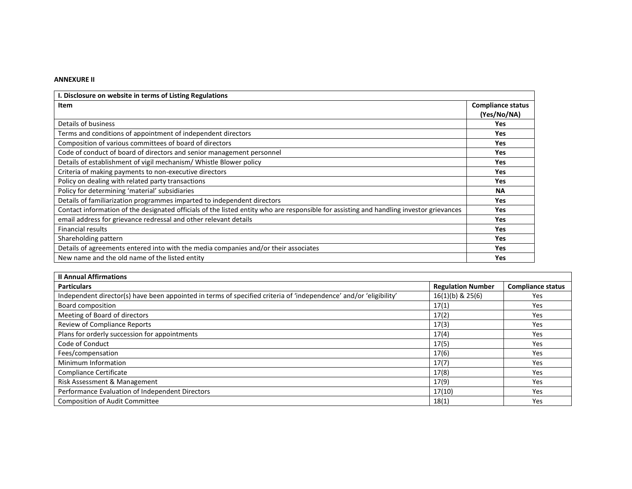## **ANNEXURE II**

| I. Disclosure on website in terms of Listing Regulations                                                                                |                          |
|-----------------------------------------------------------------------------------------------------------------------------------------|--------------------------|
| Item                                                                                                                                    | <b>Compliance status</b> |
|                                                                                                                                         | (Yes/No/NA)              |
| Details of business                                                                                                                     | Yes                      |
| Terms and conditions of appointment of independent directors                                                                            | <b>Yes</b>               |
| Composition of various committees of board of directors                                                                                 | <b>Yes</b>               |
| Code of conduct of board of directors and senior management personnel                                                                   | <b>Yes</b>               |
| Details of establishment of vigil mechanism/ Whistle Blower policy                                                                      | <b>Yes</b>               |
| Criteria of making payments to non-executive directors                                                                                  | Yes                      |
| Policy on dealing with related party transactions                                                                                       | Yes                      |
| Policy for determining 'material' subsidiaries                                                                                          | <b>NA</b>                |
| Details of familiarization programmes imparted to independent directors                                                                 | Yes                      |
| Contact information of the designated officials of the listed entity who are responsible for assisting and handling investor grievances | Yes                      |
| email address for grievance redressal and other relevant details                                                                        | <b>Yes</b>               |
| <b>Financial results</b>                                                                                                                | <b>Yes</b>               |
| Shareholding pattern                                                                                                                    | <b>Yes</b>               |
| Details of agreements entered into with the media companies and/or their associates                                                     | <b>Yes</b>               |
| New name and the old name of the listed entity                                                                                          | Yes                      |

| <b>Il Annual Affirmations</b>                                                                                     |                          |                          |  |  |
|-------------------------------------------------------------------------------------------------------------------|--------------------------|--------------------------|--|--|
| <b>Particulars</b>                                                                                                | <b>Regulation Number</b> | <b>Compliance status</b> |  |  |
| Independent director(s) have been appointed in terms of specified criteria of 'independence' and/or 'eligibility' | $16(1)(b)$ & $25(6)$     | <b>Yes</b>               |  |  |
| Board composition                                                                                                 | 17(1)                    | Yes                      |  |  |
| Meeting of Board of directors                                                                                     | 17(2)                    | Yes                      |  |  |
| <b>Review of Compliance Reports</b>                                                                               | 17(3)                    | Yes                      |  |  |
| Plans for orderly succession for appointments                                                                     | 17(4)                    | Yes                      |  |  |
| Code of Conduct                                                                                                   | 17(5)                    | Yes                      |  |  |
| Fees/compensation                                                                                                 | 17(6)                    | Yes                      |  |  |
| Minimum Information                                                                                               | 17(7)                    | Yes                      |  |  |
| Compliance Certificate                                                                                            | 17(8)                    | Yes                      |  |  |
| Risk Assessment & Management                                                                                      | 17(9)                    | Yes                      |  |  |
| Performance Evaluation of Independent Directors                                                                   | 17(10)                   | Yes                      |  |  |
| <b>Composition of Audit Committee</b>                                                                             | 18(1)                    | Yes                      |  |  |